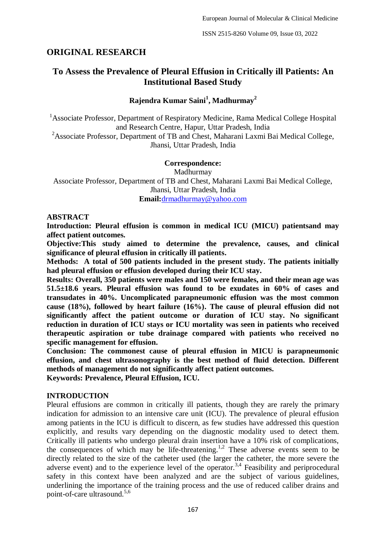## **ORIGINAL RESEARCH**

# **To Assess the Prevalence of Pleural Effusion in Critically ill Patients: An Institutional Based Study**

## **Rajendra Kumar Saini<sup>1</sup> , Madhurmay<sup>2</sup>**

<sup>1</sup> Associate Professor, Department of Respiratory Medicine, Rama Medical College Hospital and Research Centre, Hapur, Uttar Pradesh, India

<sup>2</sup>Associate Professor, Department of TB and Chest, Maharani Laxmi Bai Medical College, Jhansi, Uttar Pradesh, India

#### **Correspondence:**

Madhurmay Associate Professor, Department of TB and Chest, Maharani Laxmi Bai Medical College, Jhansi, Uttar Pradesh, India **Email:**[drmadhurmay@yahoo.com](about:blank)

#### **ABSTRACT**

**Introduction: Pleural effusion is common in medical ICU (MICU) patientsand may affect patient outcomes.**

**Objective:This study aimed to determine the prevalence, causes, and clinical significance of pleural effusion in critically ill patients.**

**Methods: A total of 500 patients included in the present study. The patients initially had pleural effusion or effusion developed during their ICU stay.** 

**Results: Overall, 350 patients were males and 150 were females, and their mean age was 51.5±18.6 years. Pleural effusion was found to be exudates in 60% of cases and transudates in 40%. Uncomplicated parapneumonic effusion was the most common cause (18%), followed by heart failure (16%). The cause of pleural effusion did not significantly affect the patient outcome or duration of ICU stay. No significant reduction in duration of ICU stays or ICU mortality was seen in patients who received therapeutic aspiration or tube drainage compared with patients who received no specific management for effusion.**

**Conclusion: The commonest cause of pleural effusion in MICU is parapneumonic effusion, and chest ultrasonography is the best method of fluid detection. Different methods of management do not significantly affect patient outcomes.**

**Keywords: Prevalence, Pleural Effusion, ICU.**

### **INTRODUCTION**

Pleural effusions are common in critically ill patients, though they are rarely the primary indication for admission to an intensive care unit (ICU). The prevalence of pleural effusion among patients in the ICU is difficult to discern, as few studies have addressed this question explicitly, and results vary depending on the diagnostic modality used to detect them. Critically ill patients who undergo pleural drain insertion have a 10% risk of complications, the consequences of which may be life-threatening.<sup>1,2</sup> These adverse events seem to be directly related to the size of the catheter used (the larger the catheter, the more severe the adverse event) and to the experience level of the operator.<sup>3,4</sup> Feasibility and periprocedural safety in this context have been analyzed and are the subject of various guidelines, underlining the importance of the training process and the use of reduced caliber drains and point-of-care ultrasound.<sup>5,6</sup>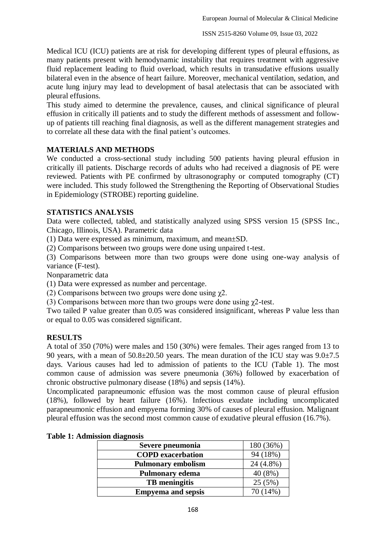Medical ICU (ICU) patients are at risk for developing different types of pleural effusions, as many patients present with hemodynamic instability that requires treatment with aggressive fluid replacement leading to fluid overload, which results in transudative effusions usually bilateral even in the absence of heart failure. Moreover, mechanical ventilation, sedation, and acute lung injury may lead to development of basal atelectasis that can be associated with pleural effusions.

This study aimed to determine the prevalence, causes, and clinical significance of pleural effusion in critically ill patients and to study the different methods of assessment and followup of patients till reaching final diagnosis, as well as the different management strategies and to correlate all these data with the final patient's outcomes.

### **MATERIALS AND METHODS**

We conducted a cross-sectional study including 500 patients having pleural effusion in critically ill patients. Discharge records of adults who had received a diagnosis of PE were reviewed. Patients with PE confirmed by ultrasonography or computed tomography (CT) were included. This study followed the Strengthening the Reporting of Observational Studies in Epidemiology (STROBE) reporting guideline.

### **STATISTICS ANALYSIS**

Data were collected, tabled, and statistically analyzed using SPSS version 15 (SPSS Inc., Chicago, Illinois, USA). Parametric data

(1) Data were expressed as minimum, maximum, and mean±SD.

(2) Comparisons between two groups were done using unpaired t-test.

(3) Comparisons between more than two groups were done using one-way analysis of variance (F-test).

Nonparametric data

(1) Data were expressed as number and percentage.

(2) Comparisons between two groups were done using χ2.

(3) Comparisons between more than two groups were done using χ2-test.

Two tailed P value greater than 0.05 was considered insignificant, whereas P value less than or equal to 0.05 was considered significant.

## **RESULTS**

A total of 350 (70%) were males and 150 (30%) were females. Their ages ranged from 13 to 90 years, with a mean of  $50.8\pm20.50$  years. The mean duration of the ICU stay was  $9.0\pm7.5$ days. Various causes had led to admission of patients to the ICU (Table 1). The most common cause of admission was severe pneumonia (36%) followed by exacerbation of chronic obstructive pulmonary disease (18%) and sepsis (14%).

Uncomplicated parapneumonic effusion was the most common cause of pleural effusion (18%), followed by heart failure (16%). Infectious exudate including uncomplicated parapneumonic effusion and empyema forming 30% of causes of pleural effusion. Malignant pleural effusion was the second most common cause of exudative pleural effusion (16.7%).

| Severe pneumonia          | 180 (36%)   |
|---------------------------|-------------|
| <b>COPD</b> exacerbation  | 94 (18%)    |
| <b>Pulmonary embolism</b> | $24(4.8\%)$ |
| <b>Pulmonary edema</b>    | 40(8%)      |
| <b>TB</b> meningitis      | 25(5%)      |
| <b>Empyema and sepsis</b> | 70 (14%)    |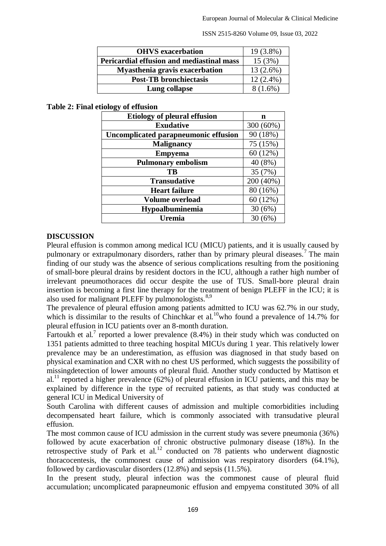ISSN 2515-8260 Volume 09, Issue 03, 2022

| <b>OHVS</b> exacerbation                  | 19 (3.8%)   |
|-------------------------------------------|-------------|
| Pericardial effusion and mediastinal mass | 15(3%)      |
| <b>Myasthenia gravis exacerbation</b>     | $13(2.6\%)$ |
| <b>Post-TB</b> bronchiectasis             | $12(2.4\%)$ |
| Lung collapse                             | 8 (1.6%)    |

#### **Table 2: Final etiology of effusion**

| <b>Etiology of pleural effusion</b>  | n         |
|--------------------------------------|-----------|
| <b>Exudative</b>                     | 300 (60%) |
| Uncomplicated parapneumonic effusion | 90 (18%)  |
| <b>Malignancy</b>                    | 75 (15%)  |
| <b>Empyema</b>                       | 60(12%)   |
| <b>Pulmonary embolism</b>            | 40 (8%)   |
| <b>TB</b>                            | 35 (7%)   |
| <b>Transudative</b>                  | 200 (40%) |
| <b>Heart failure</b>                 | 80 (16%)  |
| <b>Volume overload</b>               | 60(12%)   |
| Hypoalbuminemia                      | 30(6%)    |
| Uremia                               | 30 (6%)   |

#### **DISCUSSION**

Pleural effusion is common among medical ICU (MICU) patients, and it is usually caused by pulmonary or extrapulmonary disorders, rather than by primary pleural diseases.<sup>7</sup> The main finding of our study was the absence of serious complications resulting from the positioning of small-bore pleural drains by resident doctors in the ICU, although a rather high number of irrelevant pneumothoraces did occur despite the use of TUS. Small-bore pleural drain insertion is becoming a first line therapy for the treatment of benign PLEFF in the ICU; it is also used for malignant PLEFF by pulmonologists. $8,9$ 

The prevalence of pleural effusion among patients admitted to ICU was 62.7% in our study, which is dissimilar to the results of Chinchkar et al.<sup>10</sup>who found a prevalence of 14.7% for pleural effusion in ICU patients over an 8-month duration.

Fartoukh et al.<sup>7</sup> reported a lower prevalence  $(8.4%)$  in their study which was conducted on 1351 patients admitted to three teaching hospital MICUs during 1 year. This relatively lower prevalence may be an underestimation, as effusion was diagnosed in that study based on physical examination and CXR with no chest US performed, which suggests the possibility of missingdetection of lower amounts of pleural fluid. Another study conducted by Mattison et al.<sup>11</sup> reported a higher prevalence (62%) of pleural effusion in ICU patients, and this may be explained by difference in the type of recruited patients, as that study was conducted at general ICU in Medical University of

South Carolina with different causes of admission and multiple comorbidities including decompensated heart failure, which is commonly associated with transudative pleural effusion.

The most common cause of ICU admission in the current study was severe pneumonia (36%) followed by acute exacerbation of chronic obstructive pulmonary disease (18%). In the retrospective study of Park et al.<sup>12</sup> conducted on 78 patients who underwent diagnostic thoracocentesis, the commonest cause of admission was respiratory disorders (64.1%), followed by cardiovascular disorders (12.8%) and sepsis (11.5%).

In the present study, pleural infection was the commonest cause of pleural fluid accumulation; uncomplicated parapneumonic effusion and empyema constituted 30% of all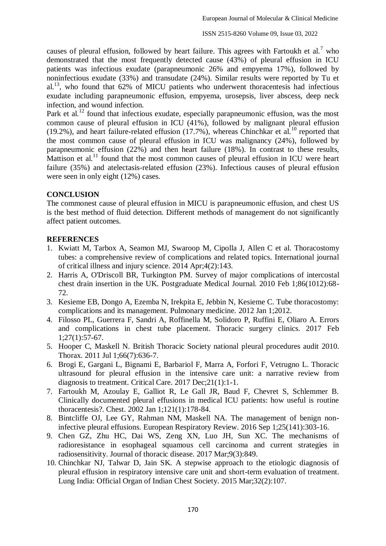causes of pleural effusion, followed by heart failure. This agrees with Fartoukh et al.<sup>7</sup> who demonstrated that the most frequently detected cause (43%) of pleural effusion in ICU patients was infectious exudate (parapneumonic 26% and empyema 17%), followed by noninfectious exudate (33%) and transudate (24%). Similar results were reported by Tu et al.<sup>13</sup>, who found that  $62\%$  of MICU patients who underwent thoracentesis had infectious exudate including parapneumonic effusion, empyema, urosepsis, liver abscess, deep neck infection, and wound infection.

Park et al.<sup>12</sup> found that infectious exudate, especially parapneumonic effusion, was the most common cause of pleural effusion in ICU (41%), followed by malignant pleural effusion (19.2%), and heart failure-related effusion (17.7%), whereas Chinchkar et al.<sup>10</sup> reported that the most common cause of pleural effusion in ICU was malignancy (24%), followed by parapneumonic effusion (22%) and then heart failure (18%). In contrast to these results, Mattison et al.<sup>11</sup> found that the most common causes of pleural effusion in ICU were heart failure (35%) and atelectasis-related effusion (23%). Infectious causes of pleural effusion were seen in only eight (12%) cases.

## **CONCLUSION**

The commonest cause of pleural effusion in MICU is parapneumonic effusion, and chest US is the best method of fluid detection. Different methods of management do not significantly affect patient outcomes.

### **REFERENCES**

- 1. Kwiatt M, Tarbox A, Seamon MJ, Swaroop M, Cipolla J, Allen C et al. Thoracostomy tubes: a comprehensive review of complications and related topics. International journal of critical illness and injury science. 2014 Apr;4(2):143.
- 2. Harris A, O'Driscoll BR, Turkington PM. Survey of major complications of intercostal chest drain insertion in the UK. Postgraduate Medical Journal. 2010 Feb 1;86(1012):68- 72.
- 3. Kesieme EB, Dongo A, Ezemba N, Irekpita E, Jebbin N, Kesieme C. Tube thoracostomy: complications and its management. Pulmonary medicine. 2012 Jan 1;2012.
- 4. Filosso PL, Guerrera F, Sandri A, Roffinella M, Solidoro P, Ruffini E, Oliaro A. Errors and complications in chest tube placement. Thoracic surgery clinics. 2017 Feb  $1;27(1):57-67.$
- 5. Hooper C, Maskell N. British Thoracic Society national pleural procedures audit 2010. Thorax. 2011 Jul 1;66(7):636-7.
- 6. Brogi E, Gargani L, Bignami E, Barbariol F, Marra A, Forfori F, Vetrugno L. Thoracic ultrasound for pleural effusion in the intensive care unit: a narrative review from diagnosis to treatment. Critical Care. 2017 Dec;21(1):1-1.
- 7. Fartoukh M, Azoulay E, Galliot R, Le Gall JR, Baud F, Chevret S, Schlemmer B. Clinically documented pleural effusions in medical ICU patients: how useful is routine thoracentesis?. Chest. 2002 Jan 1;121(1):178-84.
- 8. Bintcliffe OJ, Lee GY, Rahman NM, Maskell NA. The management of benign noninfective pleural effusions. European Respiratory Review. 2016 Sep 1;25(141):303-16.
- 9. Chen GZ, Zhu HC, Dai WS, Zeng XN, Luo JH, Sun XC. The mechanisms of radioresistance in esophageal squamous cell carcinoma and current strategies in radiosensitivity. Journal of thoracic disease. 2017 Mar;9(3):849.
- 10. Chinchkar NJ, Talwar D, Jain SK. A stepwise approach to the etiologic diagnosis of pleural effusion in respiratory intensive care unit and short-term evaluation of treatment. Lung India: Official Organ of Indian Chest Society. 2015 Mar;32(2):107.